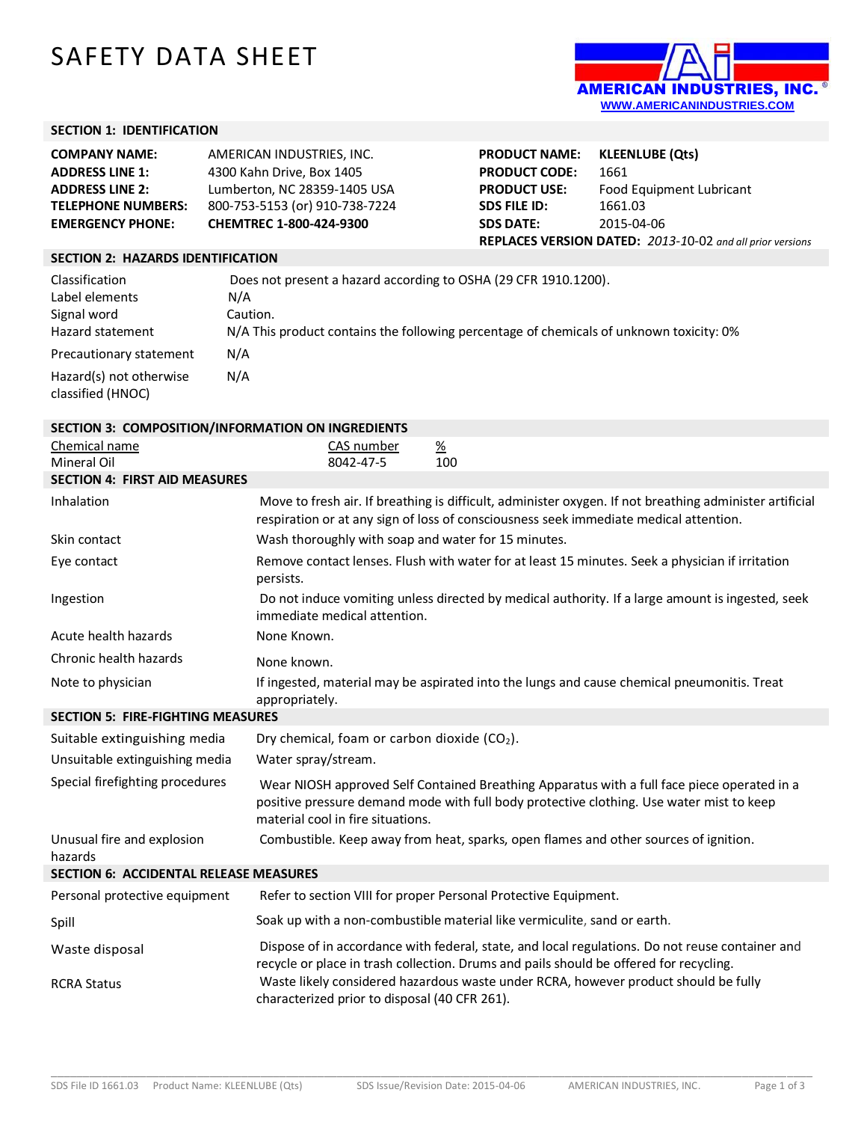## SAFETY DATA SHEET



## **SECTION 1: IDENTIFICATION**

| <b>COMPANY NAME:</b>      | AMERICAN INDUSTRIES, INC.      |
|---------------------------|--------------------------------|
| <b>ADDRESS LINE 1:</b>    | 4300 Kahn Drive, Box 1405      |
| <b>ADDRESS LINE 2:</b>    | Lumberton, NC 28359-1405 USA   |
| <b>TELEPHONE NUMBERS:</b> | 800-753-5153 (or) 910-738-7224 |
| <b>EMERGENCY PHONE:</b>   | CHEMTREC 1-800-424-9300        |

| <b>PRODUCT NAME:</b>                                      | <b>KLEENLUBE (Qts)</b>   |  |
|-----------------------------------------------------------|--------------------------|--|
| <b>PRODUCT CODE:</b>                                      | 1661                     |  |
| <b>PRODUCT USE:</b>                                       | Food Equipment Lubricant |  |
| <b>SDS FILE ID:</b>                                       | 1661.03                  |  |
| <b>SDS DATE:</b>                                          | 2015-04-06               |  |
| REPLACES VERSION DATED: 2013-10-02 and all prior versions |                          |  |

## **SECTION 2: HAZARDS IDENTIFICATION**

| Classification                               | Does not present a hazard according to OSHA (29 CFR 1910.1200).                         |
|----------------------------------------------|-----------------------------------------------------------------------------------------|
| Label elements                               | N/A                                                                                     |
| Signal word                                  | Caution.                                                                                |
| Hazard statement                             | N/A This product contains the following percentage of chemicals of unknown toxicity: 0% |
| Precautionary statement                      | N/A                                                                                     |
| Hazard(s) not otherwise<br>classified (HNOC) | N/A                                                                                     |

| SECTION 3: COMPOSITION/INFORMATION ON INGREDIENTS |                                                                                                                                                                                                                              |  |  |
|---------------------------------------------------|------------------------------------------------------------------------------------------------------------------------------------------------------------------------------------------------------------------------------|--|--|
| Chemical name                                     | CAS number<br>$\frac{\%}{\%}$                                                                                                                                                                                                |  |  |
| <b>Mineral Oil</b>                                | 8042-47-5<br>100                                                                                                                                                                                                             |  |  |
| <b>SECTION 4: FIRST AID MEASURES</b>              |                                                                                                                                                                                                                              |  |  |
| Inhalation                                        | Move to fresh air. If breathing is difficult, administer oxygen. If not breathing administer artificial<br>respiration or at any sign of loss of consciousness seek immediate medical attention.                             |  |  |
| Skin contact                                      | Wash thoroughly with soap and water for 15 minutes.                                                                                                                                                                          |  |  |
| Eye contact                                       | Remove contact lenses. Flush with water for at least 15 minutes. Seek a physician if irritation<br>persists.                                                                                                                 |  |  |
| Ingestion                                         | Do not induce vomiting unless directed by medical authority. If a large amount is ingested, seek<br>immediate medical attention.                                                                                             |  |  |
| Acute health hazards                              | None Known.                                                                                                                                                                                                                  |  |  |
| Chronic health hazards                            | None known.                                                                                                                                                                                                                  |  |  |
| Note to physician                                 | If ingested, material may be aspirated into the lungs and cause chemical pneumonitis. Treat<br>appropriately.                                                                                                                |  |  |
| <b>SECTION 5: FIRE-FIGHTING MEASURES</b>          |                                                                                                                                                                                                                              |  |  |
| Suitable extinguishing media                      | Dry chemical, foam or carbon dioxide (CO <sub>2</sub> ).                                                                                                                                                                     |  |  |
| Unsuitable extinguishing media                    | Water spray/stream.                                                                                                                                                                                                          |  |  |
| Special firefighting procedures                   | Wear NIOSH approved Self Contained Breathing Apparatus with a full face piece operated in a<br>positive pressure demand mode with full body protective clothing. Use water mist to keep<br>material cool in fire situations. |  |  |
| Unusual fire and explosion<br>hazards             | Combustible. Keep away from heat, sparks, open flames and other sources of ignition.                                                                                                                                         |  |  |
| <b>SECTION 6: ACCIDENTAL RELEASE MEASURES</b>     |                                                                                                                                                                                                                              |  |  |
| Personal protective equipment                     | Refer to section VIII for proper Personal Protective Equipment.                                                                                                                                                              |  |  |
| Spill                                             | Soak up with a non-combustible material like vermiculite, sand or earth.                                                                                                                                                     |  |  |
| Waste disposal                                    | Dispose of in accordance with federal, state, and local regulations. Do not reuse container and<br>recycle or place in trash collection. Drums and pails should be offered for recycling.                                    |  |  |
| <b>RCRA Status</b>                                | Waste likely considered hazardous waste under RCRA, however product should be fully<br>characterized prior to disposal (40 CFR 261).                                                                                         |  |  |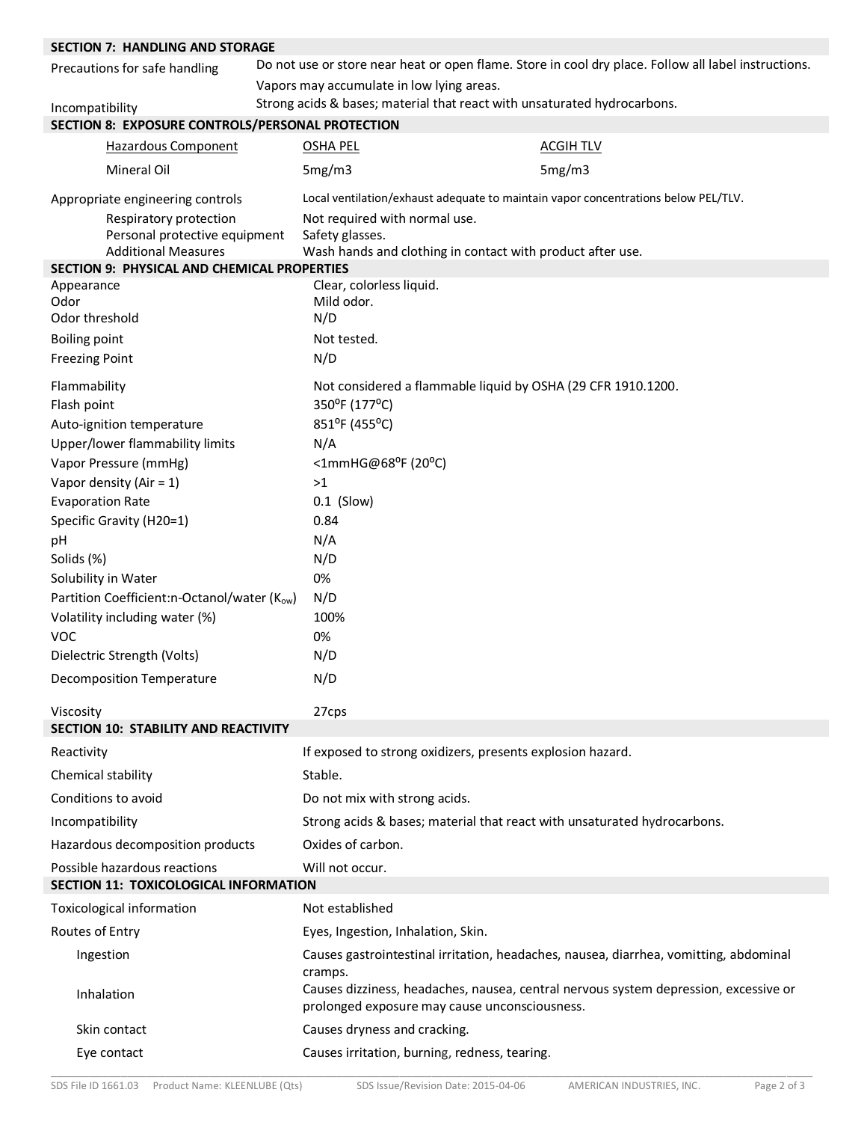| <b>SECTION 7: HANDLING AND STORAGE</b>                                                |  |                                                  |                                                                                                                                       |
|---------------------------------------------------------------------------------------|--|--------------------------------------------------|---------------------------------------------------------------------------------------------------------------------------------------|
| Precautions for safe handling                                                         |  |                                                  | Do not use or store near heat or open flame. Store in cool dry place. Follow all label instructions.                                  |
|                                                                                       |  | Vapors may accumulate in low lying areas.        |                                                                                                                                       |
| Incompatibility                                                                       |  |                                                  | Strong acids & bases; material that react with unsaturated hydrocarbons.                                                              |
| SECTION 8: EXPOSURE CONTROLS/PERSONAL PROTECTION                                      |  |                                                  |                                                                                                                                       |
| <b>Hazardous Component</b>                                                            |  | <b>OSHA PEL</b>                                  | <b>ACGIH TLV</b>                                                                                                                      |
| Mineral Oil                                                                           |  | 5mg/m3                                           | 5mg/m3                                                                                                                                |
| Appropriate engineering controls                                                      |  |                                                  | Local ventilation/exhaust adequate to maintain vapor concentrations below PEL/TLV.                                                    |
| Respiratory protection<br>Personal protective equipment<br><b>Additional Measures</b> |  | Not required with normal use.<br>Safety glasses. | Wash hands and clothing in contact with product after use.                                                                            |
| SECTION 9: PHYSICAL AND CHEMICAL PROPERTIES                                           |  |                                                  |                                                                                                                                       |
| Appearance                                                                            |  | Clear, colorless liquid.                         |                                                                                                                                       |
| Odor<br>Odor threshold                                                                |  | Mild odor.<br>N/D                                |                                                                                                                                       |
|                                                                                       |  | Not tested.                                      |                                                                                                                                       |
| <b>Boiling point</b><br><b>Freezing Point</b>                                         |  | N/D                                              |                                                                                                                                       |
| Flammability                                                                          |  |                                                  | Not considered a flammable liquid by OSHA (29 CFR 1910.1200.                                                                          |
| Flash point                                                                           |  | 350°F (177°C)                                    |                                                                                                                                       |
| Auto-ignition temperature                                                             |  | 851°F (455°C)                                    |                                                                                                                                       |
| Upper/lower flammability limits                                                       |  | N/A                                              |                                                                                                                                       |
| Vapor Pressure (mmHg)                                                                 |  | <1mmHG@68 <sup>o</sup> F (20 <sup>o</sup> C)     |                                                                                                                                       |
| Vapor density (Air = 1)                                                               |  | >1                                               |                                                                                                                                       |
| <b>Evaporation Rate</b>                                                               |  | $0.1$ (Slow)                                     |                                                                                                                                       |
| Specific Gravity (H20=1)                                                              |  | 0.84                                             |                                                                                                                                       |
| pH                                                                                    |  | N/A                                              |                                                                                                                                       |
| Solids (%)                                                                            |  | N/D                                              |                                                                                                                                       |
| Solubility in Water                                                                   |  | 0%                                               |                                                                                                                                       |
| Partition Coefficient:n-Octanol/water (Kow)                                           |  | N/D                                              |                                                                                                                                       |
| Volatility including water (%)                                                        |  | 100%                                             |                                                                                                                                       |
| <b>VOC</b>                                                                            |  | 0%                                               |                                                                                                                                       |
| Dielectric Strength (Volts)                                                           |  | N/D                                              |                                                                                                                                       |
| <b>Decomposition Temperature</b>                                                      |  | N/D                                              |                                                                                                                                       |
| Viscosity                                                                             |  | 27cps                                            |                                                                                                                                       |
| SECTION 10: STABILITY AND REACTIVITY                                                  |  |                                                  |                                                                                                                                       |
| Reactivity                                                                            |  |                                                  | If exposed to strong oxidizers, presents explosion hazard.                                                                            |
| Chemical stability                                                                    |  | Stable.                                          |                                                                                                                                       |
| Conditions to avoid                                                                   |  | Do not mix with strong acids.                    |                                                                                                                                       |
| Incompatibility                                                                       |  |                                                  | Strong acids & bases; material that react with unsaturated hydrocarbons.                                                              |
| Hazardous decomposition products                                                      |  | Oxides of carbon.                                |                                                                                                                                       |
| Possible hazardous reactions<br>SECTION 11: TOXICOLOGICAL INFORMATION                 |  | Will not occur.                                  |                                                                                                                                       |
| Toxicological information                                                             |  | Not established                                  |                                                                                                                                       |
| Routes of Entry                                                                       |  | Eyes, Ingestion, Inhalation, Skin.               |                                                                                                                                       |
| Ingestion                                                                             |  |                                                  | Causes gastrointestinal irritation, headaches, nausea, diarrhea, vomitting, abdominal                                                 |
| Inhalation                                                                            |  | cramps.                                          | Causes dizziness, headaches, nausea, central nervous system depression, excessive or<br>prolonged exposure may cause unconsciousness. |
| Skin contact                                                                          |  | Causes dryness and cracking.                     |                                                                                                                                       |
| Eye contact                                                                           |  | Causes irritation, burning, redness, tearing.    |                                                                                                                                       |